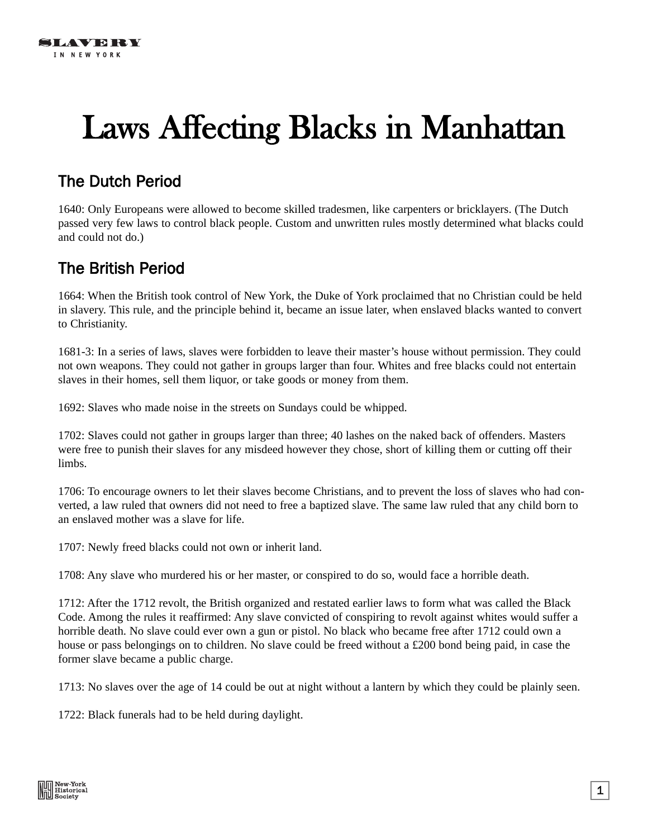## Laws Affecting Blacks in Manhattan

## The Dutch Period

1640: Only Europeans were allowed to become skilled tradesmen, like carpenters or bricklayers. (The Dutch passed very few laws to control black people. Custom and unwritten rules mostly determined what blacks could and could not do.)

## The British Period

1664: When the British took control of New York, the Duke of York proclaimed that no Christian could be held in slavery. This rule, and the principle behind it, became an issue later, when enslaved blacks wanted to convert to Christianity.

1681-3: In a series of laws, slaves were forbidden to leave their master's house without permission. They could not own weapons. They could not gather in groups larger than four. Whites and free blacks could not entertain slaves in their homes, sell them liquor, or take goods or money from them.

1692: Slaves who made noise in the streets on Sundays could be whipped.

1702: Slaves could not gather in groups larger than three; 40 lashes on the naked back of offenders. Masters were free to punish their slaves for any misdeed however they chose, short of killing them or cutting off their limbs.

1706: To encourage owners to let their slaves become Christians, and to prevent the loss of slaves who had converted, a law ruled that owners did not need to free a baptized slave. The same law ruled that any child born to an enslaved mother was a slave for life.

1707: Newly freed blacks could not own or inherit land.

1708: Any slave who murdered his or her master, or conspired to do so, would face a horrible death.

1712: After the 1712 revolt, the British organized and restated earlier laws to form what was called the Black Code. Among the rules it reaffirmed: Any slave convicted of conspiring to revolt against whites would suffer a horrible death. No slave could ever own a gun or pistol. No black who became free after 1712 could own a house or pass belongings on to children. No slave could be freed without a £200 bond being paid, in case the former slave became a public charge.

1713: No slaves over the age of 14 could be out at night without a lantern by which they could be plainly seen.

1722: Black funerals had to be held during daylight.